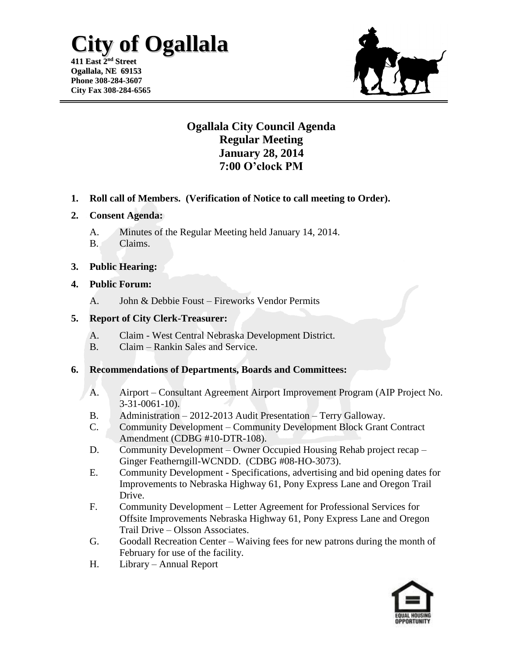# **City of Ogallala**

**411 East 2 nd Street Ogallala, NE 69153 Phone 308-284-3607 City Fax 308-284-6565**



## **Ogallala City Council Agenda Regular Meeting January 28, 2014 7:00 O'clock PM**

**1. Roll call of Members. (Verification of Notice to call meeting to Order).**

#### **2. Consent Agenda:**

- A. Minutes of the Regular Meeting held January 14, 2014.
- B. Claims.

#### **3. Public Hearing:**

#### **4. Public Forum:**

A. John & Debbie Foust – Fireworks Vendor Permits

#### **5. Report of City Clerk-Treasurer:**

- A. Claim West Central Nebraska Development District.
- B. Claim Rankin Sales and Service.

#### **6. Recommendations of Departments, Boards and Committees:**

- A. Airport Consultant Agreement Airport Improvement Program (AIP Project No. 3-31-0061-10).
- B. Administration 2012-2013 Audit Presentation Terry Galloway.
- C. Community Development Community Development Block Grant Contract Amendment (CDBG #10-DTR-108).
- D. Community Development Owner Occupied Housing Rehab project recap Ginger Featherngill-WCNDD. (CDBG #08-HO-3073).
- E. Community Development Specifications, advertising and bid opening dates for Improvements to Nebraska Highway 61, Pony Express Lane and Oregon Trail Drive.
- F. Community Development Letter Agreement for Professional Services for Offsite Improvements Nebraska Highway 61, Pony Express Lane and Oregon Trail Drive – Olsson Associates.
- G. Goodall Recreation Center Waiving fees for new patrons during the month of February for use of the facility.
- H. Library Annual Report

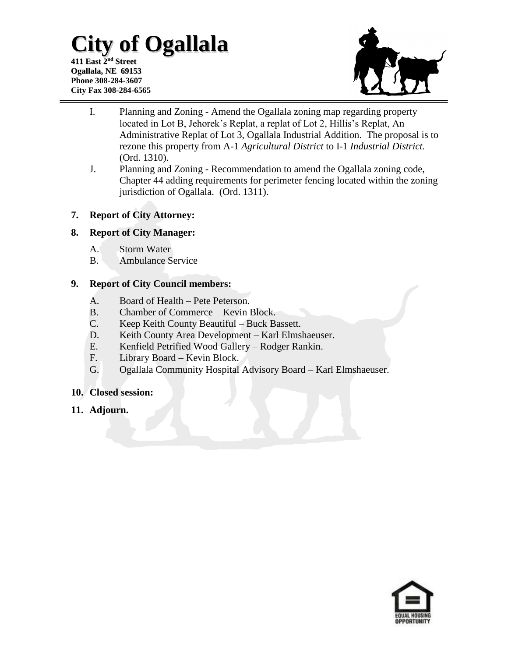# **City of Ogallala**

**411 East 2 nd Street Ogallala, NE 69153 Phone 308-284-3607 City Fax 308-284-6565**



- I. Planning and Zoning Amend the Ogallala zoning map regarding property located in Lot B, Jehorek's Replat, a replat of Lot 2, Hillis's Replat, An Administrative Replat of Lot 3, Ogallala Industrial Addition. The proposal is to rezone this property from A-1 *Agricultural District* to I-1 *Industrial District.*  (Ord. 1310).
- J. Planning and Zoning Recommendation to amend the Ogallala zoning code, Chapter 44 adding requirements for perimeter fencing located within the zoning jurisdiction of Ogallala. (Ord. 1311).

### **7. Report of City Attorney:**

#### **8. Report of City Manager:**

- A. Storm Water
- B. Ambulance Service

#### **9. Report of City Council members:**

- A. Board of Health Pete Peterson.
- B. Chamber of Commerce Kevin Block.
- C. Keep Keith County Beautiful Buck Bassett.
- D. Keith County Area Development Karl Elmshaeuser.
- E. Kenfield Petrified Wood Gallery Rodger Rankin.
- F. Library Board Kevin Block.
- G. Ogallala Community Hospital Advisory Board Karl Elmshaeuser.

#### **10. Closed session:**

**11. Adjourn.**